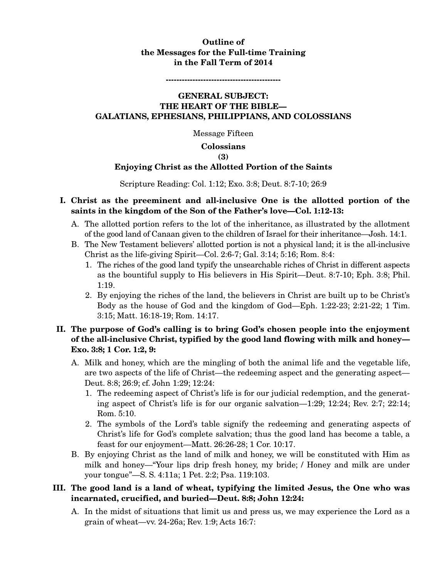## **Outline of the Messages for the Full-time Training in the Fall Term of 2014**

**-------------------------------------------** 

## **GENERAL SUBJECT: THE HEART OF THE BIBLE— GALATIANS, EPHESIANS, PHILIPPIANS, AND COLOSSIANS**

Message Fifteen

#### **Colossians**

#### **(3)**

### **Enjoying Christ as the Allotted Portion of the Saints**

Scripture Reading: Col. 1:12; Exo. 3:8; Deut. 8:7-10; 26:9

## **I. Christ as the preeminent and all-inclusive One is the allotted portion of the saints in the kingdom of the Son of the Father's love—Col. 1:12-13:**

- A. The allotted portion refers to the lot of the inheritance, as illustrated by the allotment of the good land of Canaan given to the children of Israel for their inheritance—Josh. 14:1.
- B. The New Testament believers' allotted portion is not a physical land; it is the all-inclusive Christ as the life-giving Spirit—Col. 2:6-7; Gal. 3:14; 5:16; Rom. 8:4:
	- 1. The riches of the good land typify the unsearchable riches of Christ in different aspects as the bountiful supply to His believers in His Spirit—Deut. 8:7-10; Eph. 3:8; Phil. 1:19.
	- 2. By enjoying the riches of the land, the believers in Christ are built up to be Christ's Body as the house of God and the kingdom of God—Eph. 1:22-23; 2:21-22; 1 Tim. 3:15; Matt. 16:18-19; Rom. 14:17.

## **II. The purpose of God's calling is to bring God's chosen people into the enjoyment of the all-inclusive Christ, typified by the good land flowing with milk and honey— Exo. 3:8; 1 Cor. 1:2, 9:**

- A. Milk and honey, which are the mingling of both the animal life and the vegetable life, are two aspects of the life of Christ—the redeeming aspect and the generating aspect— Deut. 8:8; 26:9; cf. John 1:29; 12:24:
	- 1. The redeeming aspect of Christ's life is for our judicial redemption, and the generating aspect of Christ's life is for our organic salvation—1:29; 12:24; Rev. 2:7; 22:14; Rom. 5:10.
	- 2. The symbols of the Lord's table signify the redeeming and generating aspects of Christ's life for God's complete salvation; thus the good land has become a table, a feast for our enjoyment—Matt. 26:26-28; 1 Cor. 10:17.
- B. By enjoying Christ as the land of milk and honey, we will be constituted with Him as milk and honey—"Your lips drip fresh honey, my bride; / Honey and milk are under your tongue"—S. S. 4:11a; 1 Pet. 2:2; Psa. 119:103.

## **III. The good land is a land of wheat, typifying the limited Jesus, the One who was incarnated, crucified, and buried—Deut. 8:8; John 12:24:**

A. In the midst of situations that limit us and press us, we may experience the Lord as a grain of wheat—vv. 24-26a; Rev. 1:9; Acts 16:7: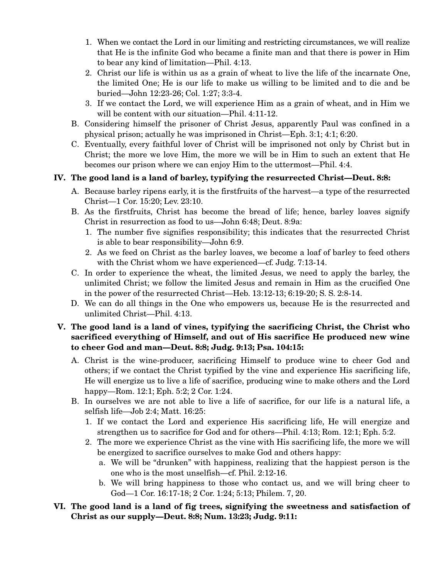- 1. When we contact the Lord in our limiting and restricting circumstances, we will realize that He is the infinite God who became a finite man and that there is power in Him to bear any kind of limitation—Phil. 4:13.
- 2. Christ our life is within us as a grain of wheat to live the life of the incarnate One, the limited One; He is our life to make us willing to be limited and to die and be buried—John 12:23-26; Col. 1:27; 3:3-4.
- 3. If we contact the Lord, we will experience Him as a grain of wheat, and in Him we will be content with our situation—Phil. 4:11-12.
- B. Considering himself the prisoner of Christ Jesus, apparently Paul was confined in a physical prison; actually he was imprisoned in Christ—Eph. 3:1; 4:1; 6:20.
- C. Eventually, every faithful lover of Christ will be imprisoned not only by Christ but in Christ; the more we love Him, the more we will be in Him to such an extent that He becomes our prison where we can enjoy Him to the uttermost—Phil. 4:4.

# **IV. The good land is a land of barley, typifying the resurrected Christ—Deut. 8:8:**

- A. Because barley ripens early, it is the firstfruits of the harvest—a type of the resurrected Christ—1 Cor. 15:20; Lev. 23:10.
- B. As the firstfruits, Christ has become the bread of life; hence, barley loaves signify Christ in resurrection as food to us—John 6:48; Deut. 8:9a:
	- 1. The number five signifies responsibility; this indicates that the resurrected Christ is able to bear responsibility—John 6:9.
	- 2. As we feed on Christ as the barley loaves, we become a loaf of barley to feed others with the Christ whom we have experienced—cf. Judg. 7:13-14.
- C. In order to experience the wheat, the limited Jesus, we need to apply the barley, the unlimited Christ; we follow the limited Jesus and remain in Him as the crucified One in the power of the resurrected Christ—Heb. 13:12-13; 6:19-20; S. S. 2:8-14.
- D. We can do all things in the One who empowers us, because He is the resurrected and unlimited Christ—Phil. 4:13.

# **V. The good land is a land of vines, typifying the sacrificing Christ, the Christ who sacrificed everything of Himself, and out of His sacrifice He produced new wine to cheer God and man—Deut. 8:8; Judg. 9:13; Psa. 104:15:**

- A. Christ is the wine-producer, sacrificing Himself to produce wine to cheer God and others; if we contact the Christ typified by the vine and experience His sacrificing life, He will energize us to live a life of sacrifice, producing wine to make others and the Lord happy—Rom. 12:1; Eph. 5:2; 2 Cor. 1:24.
- B. In ourselves we are not able to live a life of sacrifice, for our life is a natural life, a selfish life—Job 2:4; Matt. 16:25:
	- 1. If we contact the Lord and experience His sacrificing life, He will energize and strengthen us to sacrifice for God and for others—Phil. 4:13; Rom. 12:1; Eph. 5:2.
	- 2. The more we experience Christ as the vine with His sacrificing life, the more we will be energized to sacrifice ourselves to make God and others happy:
		- a. We will be "drunken" with happiness, realizing that the happiest person is the one who is the most unselfish—cf. Phil. 2:12-16.
		- b. We will bring happiness to those who contact us, and we will bring cheer to God—1 Cor. 16:17-18; 2 Cor. 1:24; 5:13; Philem. 7, 20.

## **VI. The good land is a land of fig trees, signifying the sweetness and satisfaction of Christ as our supply—Deut. 8:8; Num. 13:23; Judg. 9:11:**